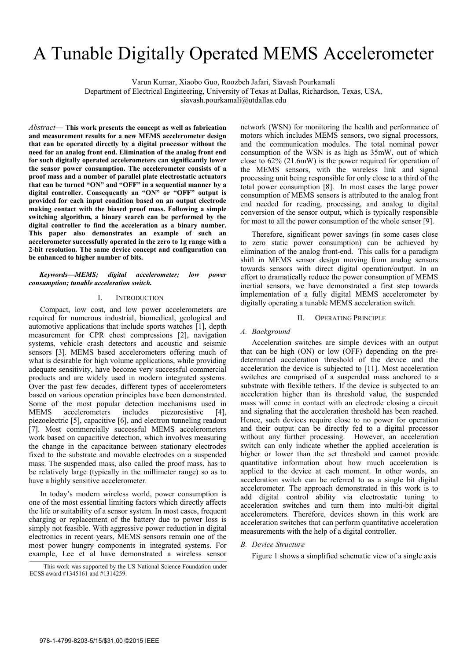# A Tunable Digitally Operated MEMS Accelerometer

Varun Kumar, Xiaobo Guo, Roozbeh Jafari, Siavash Pourkamali

Department of Electrical Engineering, University of Texas at Dallas, Richardson, Texas, USA,

siavash.pourkamali@utdallas.edu

*Abstract*— **This work presents the concept as well as fabrication and measurement results for a new MEMS accelerometer design that can be operated directly by a digital processor without the need for an analog front end. Elimination of the analog front end for such digitally operated accelerometers can significantly lower the sensor power consumption. The accelerometer consists of a proof mass and a number of parallel plate electrostatic actuators that can be turned "ON" and "OFF" in a sequential manner by a digital controller. Consequently an "ON" or "OFF" output is provided for each input condition based on an output electrode making contact with the biased proof mass. Following a simple switching algorithm, a binary search can be performed by the digital controller to find the acceleration as a binary number. This paper also demonstrates an example of such an accelerometer successfully operated in the zero to 1g range with a 2-bit resolution. The same device concept and configuration can be enhanced to higher number of bits.**

#### *Keywords—MEMS; digital accelerometer; low power consumption; tunable acceleration switch.*

### I. INTRODUCTION

Compact, low cost, and low power accelerometers are required for numerous industrial, biomedical, geological and automotive applications that include sports watches [1], depth measurement for CPR chest compressions [2], navigation systems, vehicle crash detectors and acoustic and seismic sensors [3]. MEMS based accelerometers offering much of what is desirable for high volume applications, while providing adequate sensitivity, have become very successful commercial products and are widely used in modern integrated systems. Over the past few decades, different types of accelerometers based on various operation principles have been demonstrated. Some of the most popular detection mechanisms used in MEMS accelerometers includes piezoresistive [4], piezoelectric [5], capacitive [6], and electron tunneling readout [7]. Most commercially successful MEMS accelerometers work based on capacitive detection, which involves measuring the change in the capacitance between stationary electrodes fixed to the substrate and movable electrodes on a suspended mass. The suspended mass, also called the proof mass, has to be relatively large (typically in the millimeter range) so as to have a highly sensitive accelerometer.

In today's modern wireless world, power consumption is one of the most essential limiting factors which directly affects the life or suitability of a sensor system. In most cases, frequent charging or replacement of the battery due to power loss is simply not feasible. With aggressive power reduction in digital electronics in recent years, MEMS sensors remain one of the most power hungry components in integrated systems. For example, Lee et al have demonstrated a wireless sensor

network (WSN) for monitoring the health and performance of motors which includes MEMS sensors, two signal processors, and the communication modules. The total nominal power consumption of the WSN is as high as 35mW, out of which close to 62% (21.6mW) is the power required for operation of the MEMS sensors, with the wireless link and signal processing unit being responsible for only close to a third of the total power consumption [8]. In most cases the large power consumption of MEMS sensors is attributed to the analog front end needed for reading, processing, and analog to digital conversion of the sensor output, which is typically responsible for most to all the power consumption of the whole sensor [9].

Therefore, significant power savings (in some cases close to zero static power consumption) can be achieved by elimination of the analog front-end. This calls for a paradigm shift in MEMS sensor design moving from analog sensors towards sensors with direct digital operation/output. In an effort to dramatically reduce the power consumption of MEMS inertial sensors, we have demonstrated a first step towards implementation of a fully digital MEMS accelerometer by digitally operating a tunable MEMS acceleration switch.

#### II. OPERATING PRINCIPLE

# *A. Background*

Acceleration switches are simple devices with an output that can be high (ON) or low (OFF) depending on the predetermined acceleration threshold of the device and the acceleration the device is subjected to [11]. Most acceleration switches are comprised of a suspended mass anchored to a substrate with flexible tethers. If the device is subjected to an acceleration higher than its threshold value, the suspended mass will come in contact with an electrode closing a circuit and signaling that the acceleration threshold has been reached. Hence, such devices require close to no power for operation and their output can be directly fed to a digital processor without any further processing. However, an acceleration switch can only indicate whether the applied acceleration is higher or lower than the set threshold and cannot provide quantitative information about how much acceleration is applied to the device at each moment. In other words, an acceleration switch can be referred to as a single bit digital accelerometer. The approach demonstrated in this work is to add digital control ability via electrostatic tuning to acceleration switches and turn them into multi-bit digital accelerometers. Therefore, devices shown in this work are acceleration switches that can perform quantitative acceleration measurements with the help of a digital controller.

### *B. Device Structure*

Figure 1 shows a simplified schematic view of a single axis

This work was supported by the US National Science Foundation under ECSS award #1345161 and #1314259.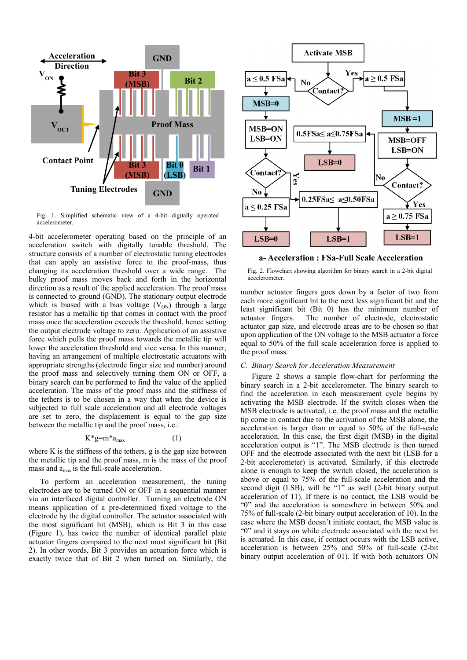

Fig. 1. Simplified schematic view of a 4-bit digitally operated accelerometer.

4-bit accelerometer operating based on the principle of an acceleration switch with digitally tunable threshold. The structure consists of a number of electrostatic tuning electrodes that can apply an assistive force to the proof-mass, thus changing its acceleration threshold over a wide range. The bulky proof mass moves back and forth in the horizontal direction as a result of the applied acceleration. The proof mass is connected to ground (GND). The stationary output electrode which is biased with a bias voltage  $(V<sub>ON</sub>)$  through a large resistor has a metallic tip that comes in contact with the proof mass once the acceleration exceeds the threshold, hence setting the output electrode voltage to zero. Application of an assistive force which pulls the proof mass towards the metallic tip will lower the acceleration threshold and vice versa. In this manner, having an arrangement of multiple electrostatic actuators with appropriate strengths (electrode finger size and number) around the proof mass and selectively turning them ON or OFF, a binary search can be performed to find the value of the applied acceleration. The mass of the proof mass and the stiffness of the tethers is to be chosen in a way that when the device is subjected to full scale acceleration and all electrode voltages are set to zero, the displacement is equal to the gap size between the metallic tip and the proof mass, i.e.:

# $K^*g= m^*a_{max}$  (1)

where K is the stiffness of the tethers, g is the gap size between the metallic tip and the proof mass, m is the mass of the proof mass and  $a_{\text{max}}$  is the full-scale acceleration.

 To perform an acceleration measurement, the tuning electrodes are to be turned ON or OFF in a sequential manner via an interfaced digital controller. Turning an electrode ON means application of a pre-determined fixed voltage to the electrode by the digital controller. The actuator associated with the most significant bit (MSB), which is Bit 3 in this case (Figure 1), has twice the number of identical parallel plate actuator fingers compared to the next most significant bit (Bit 2). In other words, Bit 3 provides an actuation force which is exactly twice that of Bit 2 when turned on. Similarly, the



**a- Acceleration : FSa-Full Scale Acceleration**

Fig. 2. Flowchart showing algorithm for binary search in a 2-bit digital accelerometer.

number actuator fingers goes down by a factor of two from each more significant bit to the next less significant bit and the least significant bit (Bit 0) has the minimum number of actuator fingers. The number of electrode, electrostatic actuator gap size, and electrode areas are to be chosen so that upon application of the ON voltage to the MSB actuator a force equal to 50% of the full scale acceleration force is applied to the proof mass.

# *C. Binary Search for Acceleration Measurement*

 Figure 2 shows a sample flow-chart for performing the binary search in a 2-bit accelerometer. The binary search to find the acceleration in each measurement cycle begins by activating the MSB electrode. If the switch closes when the MSB electrode is activated, i.e. the proof mass and the metallic tip come in contact due to the activation of the MSB alone, the acceleration is larger than or equal to 50% of the full-scale acceleration. In this case, the first digit (MSB) in the digital acceleration output is "1". The MSB electrode is then turned OFF and the electrode associated with the next bit (LSB for a 2-bit accelerometer) is activated. Similarly, if this electrode alone is enough to keep the switch closed, the acceleration is above or equal to 75% of the full-scale acceleration and the second digit (LSB), will be "1" as well (2-bit binary output acceleration of 11). If there is no contact, the LSB would be "0" and the acceleration is somewhere in between 50% and 75% of full-scale (2-bit binary output acceleration of 10). In the case where the MSB doesn't initiate contact, the MSB value is "0" and it stays on while electrode associated with the next bit is actuated. In this case, if contact occurs with the LSB active, acceleration is between 25% and 50% of full-scale (2-bit binary output acceleration of 01). If with both actuators ON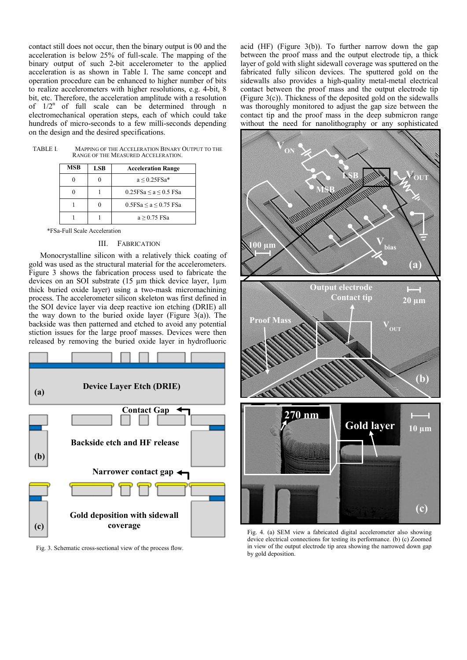contact still does not occur, then the binary output is 00 and the acceleration is below 25% of full-scale. The mapping of the binary output of such 2-bit accelerometer to the applied acceleration is as shown in Table I. The same concept and operation procedure can be enhanced to higher number of bits to realize accelerometers with higher resolutions, e.g. 4-bit, 8 bit, etc. Therefore, the acceleration amplitude with a resolution of  $1/2^n$  of full scale can be determined through n electromechanical operation steps, each of which could take hundreds of micro-seconds to a few milli-seconds depending on the design and the desired specifications.

TABLE I. MAPPING OF THE ACCELERATION BINARY OUTPUT TO THE RANGE OF THE MEASURED ACCELERATION.

| <b>MSB</b> | LSB | <b>Acceleration Range</b>          |  |
|------------|-----|------------------------------------|--|
|            |     | $a \leq 0.25$ FSa*                 |  |
|            |     | $0.25$ FSa $\le$ a $\le$ 0.5 FSa   |  |
|            |     | $0.5$ FSa $\leq$ a $\leq$ 0.75 FSa |  |
|            |     | $a > 0.75$ FSa                     |  |

\*FSa-Full Scale Acceleration

# III. FABRICATION

Monocrystalline silicon with a relatively thick coating of gold was used as the structural material for the accelerometers. Figure 3 shows the fabrication process used to fabricate the devices on an SOI substrate (15 µm thick device layer, 1µm thick buried oxide layer) using a two-mask micromachining process. The accelerometer silicon skeleton was first defined in the SOI device layer via deep reactive ion etching (DRIE) all the way down to the buried oxide layer (Figure  $3(a)$ ). The backside was then patterned and etched to avoid any potential stiction issues for the large proof masses. Devices were then released by removing the buried oxide layer in hydrofluoric



Fig. 3. Schematic cross-sectional view of the process flow.

acid (HF) (Figure 3(b)). To further narrow down the gap between the proof mass and the output electrode tip, a thick layer of gold with slight sidewall coverage was sputtered on the fabricated fully silicon devices. The sputtered gold on the sidewalls also provides a high-quality metal-metal electrical contact between the proof mass and the output electrode tip (Figure  $3(c)$ ). Thickness of the deposited gold on the sidewalls was thoroughly monitored to adjust the gap size between the contact tip and the proof mass in the deep submicron range without the need for nanolithography or any sophisticated



Fig. 4. (a) SEM view a fabricated digital accelerometer also showing device electrical connections for testing its performance. (b) (c) Zoomed in view of the output electrode tip area showing the narrowed down gap by gold deposition.